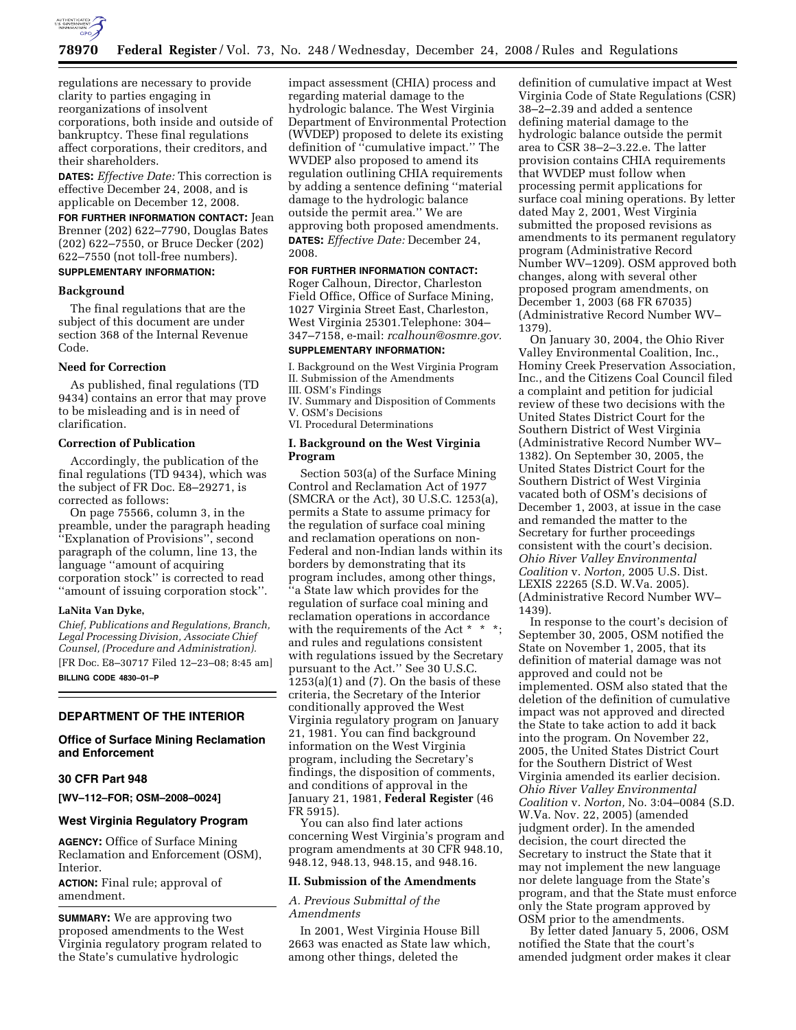

regulations are necessary to provide clarity to parties engaging in reorganizations of insolvent corporations, both inside and outside of bankruptcy. These final regulations affect corporations, their creditors, and their shareholders.

**DATES:** *Effective Date:* This correction is effective December 24, 2008, and is applicable on December 12, 2008.

**FOR FURTHER INFORMATION CONTACT:** Jean Brenner (202) 622–7790, Douglas Bates (202) 622–7550, or Bruce Decker (202) 622–7550 (not toll-free numbers).

# **SUPPLEMENTARY INFORMATION:**

# **Background**

The final regulations that are the subject of this document are under section 368 of the Internal Revenue Code.

#### **Need for Correction**

As published, final regulations (TD 9434) contains an error that may prove to be misleading and is in need of clarification.

# **Correction of Publication**

Accordingly, the publication of the final regulations (TD 9434), which was the subject of FR Doc. E8–29271, is corrected as follows:

On page 75566, column 3, in the preamble, under the paragraph heading ''Explanation of Provisions'', second paragraph of the column, line 13, the language ''amount of acquiring corporation stock'' is corrected to read ''amount of issuing corporation stock''.

#### **LaNita Van Dyke,**

*Chief, Publications and Regulations, Branch, Legal Processing Division, Associate Chief Counsel, (Procedure and Administration).*  [FR Doc. E8–30717 Filed 12–23–08; 8:45 am] **BILLING CODE 4830–01–P** 

### **DEPARTMENT OF THE INTERIOR**

### **Office of Surface Mining Reclamation and Enforcement**

# **30 CFR Part 948**

**[WV–112–FOR; OSM–2008–0024]** 

# **West Virginia Regulatory Program**

**AGENCY:** Office of Surface Mining Reclamation and Enforcement (OSM), Interior.

**ACTION:** Final rule; approval of amendment.

**SUMMARY:** We are approving two proposed amendments to the West Virginia regulatory program related to the State's cumulative hydrologic

impact assessment (CHIA) process and regarding material damage to the hydrologic balance. The West Virginia Department of Environmental Protection (WVDEP) proposed to delete its existing definition of ''cumulative impact.'' The WVDEP also proposed to amend its regulation outlining CHIA requirements by adding a sentence defining ''material damage to the hydrologic balance outside the permit area.'' We are approving both proposed amendments. **DATES:** *Effective Date:* December 24, 2008.

### **FOR FURTHER INFORMATION CONTACT:**

Roger Calhoun, Director, Charleston Field Office, Office of Surface Mining, 1027 Virginia Street East, Charleston, West Virginia 25301.Telephone: 304– 347–7158, e-mail: *rcalhoun@osmre.gov.* 

# **SUPPLEMENTARY INFORMATION:**

I. Background on the West Virginia Program II. Submission of the Amendments

III. OSM's Findings IV. Summary and Disposition of Comments V. OSM's Decisions

VI. Procedural Determinations

### **I. Background on the West Virginia Program**

Section 503(a) of the Surface Mining Control and Reclamation Act of 1977 (SMCRA or the Act), 30 U.S.C. 1253(a), permits a State to assume primacy for the regulation of surface coal mining and reclamation operations on non-Federal and non-Indian lands within its borders by demonstrating that its program includes, among other things, ''a State law which provides for the regulation of surface coal mining and reclamation operations in accordance with the requirements of the Act  $*$   $*$ and rules and regulations consistent with regulations issued by the Secretary pursuant to the Act.'' See 30 U.S.C. 1253(a)(1) and (7). On the basis of these criteria, the Secretary of the Interior conditionally approved the West Virginia regulatory program on January 21, 1981. You can find background information on the West Virginia program, including the Secretary's findings, the disposition of comments, and conditions of approval in the January 21, 1981, **Federal Register** (46 FR 5915).

You can also find later actions concerning West Virginia's program and program amendments at 30 CFR 948.10, 948.12, 948.13, 948.15, and 948.16.

### **II. Submission of the Amendments**

*A. Previous Submittal of the Amendments* 

In 2001, West Virginia House Bill 2663 was enacted as State law which, among other things, deleted the

definition of cumulative impact at West Virginia Code of State Regulations (CSR) 38–2–2.39 and added a sentence defining material damage to the hydrologic balance outside the permit area to CSR 38–2–3.22.e. The latter provision contains CHIA requirements that WVDEP must follow when processing permit applications for surface coal mining operations. By letter dated May 2, 2001, West Virginia submitted the proposed revisions as amendments to its permanent regulatory program (Administrative Record Number WV–1209). OSM approved both changes, along with several other proposed program amendments, on December 1, 2003 (68 FR 67035) (Administrative Record Number WV– 1379).

On January 30, 2004, the Ohio River Valley Environmental Coalition, Inc., Hominy Creek Preservation Association, Inc., and the Citizens Coal Council filed a complaint and petition for judicial review of these two decisions with the United States District Court for the Southern District of West Virginia (Administrative Record Number WV– 1382). On September 30, 2005, the United States District Court for the Southern District of West Virginia vacated both of OSM's decisions of December 1, 2003, at issue in the case and remanded the matter to the Secretary for further proceedings consistent with the court's decision. *Ohio River Valley Environmental Coalition* v. *Norton,* 2005 U.S. Dist. LEXIS 22265 (S.D. W.Va. 2005). (Administrative Record Number WV– 1439).

In response to the court's decision of September 30, 2005, OSM notified the State on November 1, 2005, that its definition of material damage was not approved and could not be implemented. OSM also stated that the deletion of the definition of cumulative impact was not approved and directed the State to take action to add it back into the program. On November 22, 2005, the United States District Court for the Southern District of West Virginia amended its earlier decision. *Ohio River Valley Environmental Coalition* v. *Norton,* No. 3:04–0084 (S.D. W.Va. Nov. 22, 2005) (amended judgment order). In the amended decision, the court directed the Secretary to instruct the State that it may not implement the new language nor delete language from the State's program, and that the State must enforce only the State program approved by OSM prior to the amendments.

By letter dated January 5, 2006, OSM notified the State that the court's amended judgment order makes it clear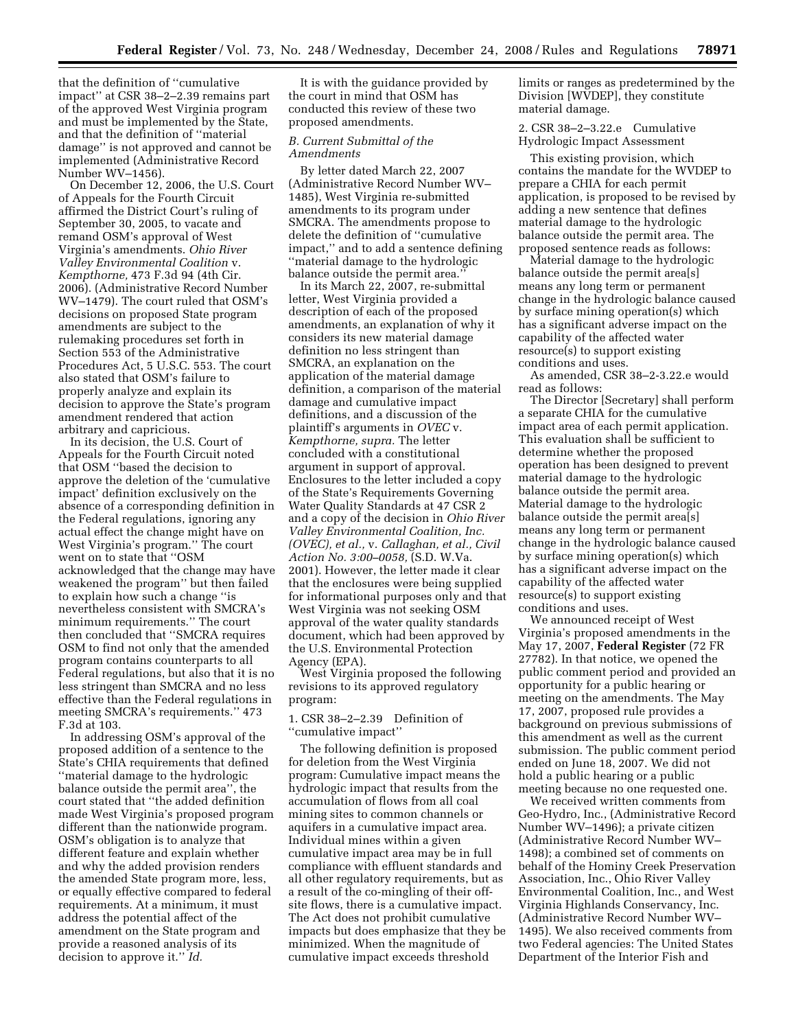that the definition of ''cumulative impact'' at CSR 38–2–2.39 remains part of the approved West Virginia program and must be implemented by the State, and that the definition of ''material damage'' is not approved and cannot be implemented (Administrative Record Number WV–1456).

On December 12, 2006, the U.S. Court of Appeals for the Fourth Circuit affirmed the District Court's ruling of September 30, 2005, to vacate and remand OSM's approval of West Virginia's amendments. *Ohio River Valley Environmental Coalition* v. *Kempthorne,* 473 F.3d 94 (4th Cir. 2006). (Administrative Record Number WV–1479). The court ruled that OSM's decisions on proposed State program amendments are subject to the rulemaking procedures set forth in Section 553 of the Administrative Procedures Act, 5 U.S.C. 553. The court also stated that OSM's failure to properly analyze and explain its decision to approve the State's program amendment rendered that action arbitrary and capricious.

In its decision, the U.S. Court of Appeals for the Fourth Circuit noted that OSM ''based the decision to approve the deletion of the 'cumulative impact' definition exclusively on the absence of a corresponding definition in the Federal regulations, ignoring any actual effect the change might have on West Virginia's program.'' The court went on to state that ''OSM acknowledged that the change may have weakened the program'' but then failed to explain how such a change ''is nevertheless consistent with SMCRA's minimum requirements.'' The court then concluded that ''SMCRA requires OSM to find not only that the amended program contains counterparts to all Federal regulations, but also that it is no less stringent than SMCRA and no less effective than the Federal regulations in meeting SMCRA's requirements.'' 473 F.3d at 103.

In addressing OSM's approval of the proposed addition of a sentence to the State's CHIA requirements that defined ''material damage to the hydrologic balance outside the permit area'', the court stated that ''the added definition made West Virginia's proposed program different than the nationwide program. OSM's obligation is to analyze that different feature and explain whether and why the added provision renders the amended State program more, less, or equally effective compared to federal requirements. At a minimum, it must address the potential affect of the amendment on the State program and provide a reasoned analysis of its decision to approve it.'' *Id.* 

It is with the guidance provided by the court in mind that OSM has conducted this review of these two proposed amendments.

# *B. Current Submittal of the Amendments*

By letter dated March 22, 2007 (Administrative Record Number WV– 1485), West Virginia re-submitted amendments to its program under SMCRA. The amendments propose to delete the definition of ''cumulative impact,'' and to add a sentence defining ''material damage to the hydrologic balance outside the permit area.''

In its March 22, 2007, re-submittal letter, West Virginia provided a description of each of the proposed amendments, an explanation of why it considers its new material damage definition no less stringent than SMCRA, an explanation on the application of the material damage definition, a comparison of the material damage and cumulative impact definitions, and a discussion of the plaintiff's arguments in *OVEC* v. *Kempthorne, supra.* The letter concluded with a constitutional argument in support of approval. Enclosures to the letter included a copy of the State's Requirements Governing Water Quality Standards at 47 CSR 2 and a copy of the decision in *Ohio River Valley Environmental Coalition, Inc. (OVEC), et al.,* v. *Callaghan, et al., Civil Action No. 3:00–0058,* (S.D. W.Va. 2001). However, the letter made it clear that the enclosures were being supplied for informational purposes only and that West Virginia was not seeking OSM approval of the water quality standards document, which had been approved by the U.S. Environmental Protection Agency (EPA).

West Virginia proposed the following revisions to its approved regulatory program:

1. CSR 38–2–2.39 Definition of ''cumulative impact''

The following definition is proposed for deletion from the West Virginia program: Cumulative impact means the hydrologic impact that results from the accumulation of flows from all coal mining sites to common channels or aquifers in a cumulative impact area. Individual mines within a given cumulative impact area may be in full compliance with effluent standards and all other regulatory requirements, but as a result of the co-mingling of their offsite flows, there is a cumulative impact. The Act does not prohibit cumulative impacts but does emphasize that they be minimized. When the magnitude of cumulative impact exceeds threshold

limits or ranges as predetermined by the Division [WVDEP], they constitute material damage.

2. CSR 38–2–3.22.e Cumulative Hydrologic Impact Assessment

This existing provision, which contains the mandate for the WVDEP to prepare a CHIA for each permit application, is proposed to be revised by adding a new sentence that defines material damage to the hydrologic balance outside the permit area. The proposed sentence reads as follows:

Material damage to the hydrologic balance outside the permit area[s] means any long term or permanent change in the hydrologic balance caused by surface mining operation(s) which has a significant adverse impact on the capability of the affected water resource(s) to support existing conditions and uses.

As amended, CSR 38–2-3.22.e would read as follows:

The Director [Secretary] shall perform a separate CHIA for the cumulative impact area of each permit application. This evaluation shall be sufficient to determine whether the proposed operation has been designed to prevent material damage to the hydrologic balance outside the permit area. Material damage to the hydrologic balance outside the permit area[s] means any long term or permanent change in the hydrologic balance caused by surface mining operation(s) which has a significant adverse impact on the capability of the affected water resource(s) to support existing conditions and uses.

We announced receipt of West Virginia's proposed amendments in the May 17, 2007, **Federal Register** (72 FR 27782). In that notice, we opened the public comment period and provided an opportunity for a public hearing or meeting on the amendments. The May 17, 2007, proposed rule provides a background on previous submissions of this amendment as well as the current submission. The public comment period ended on June 18, 2007. We did not hold a public hearing or a public meeting because no one requested one.

We received written comments from Geo-Hydro, Inc., (Administrative Record Number WV–1496); a private citizen (Administrative Record Number WV– 1498); a combined set of comments on behalf of the Hominy Creek Preservation Association, Inc., Ohio River Valley Environmental Coalition, Inc., and West Virginia Highlands Conservancy, Inc. (Administrative Record Number WV– 1495). We also received comments from two Federal agencies: The United States Department of the Interior Fish and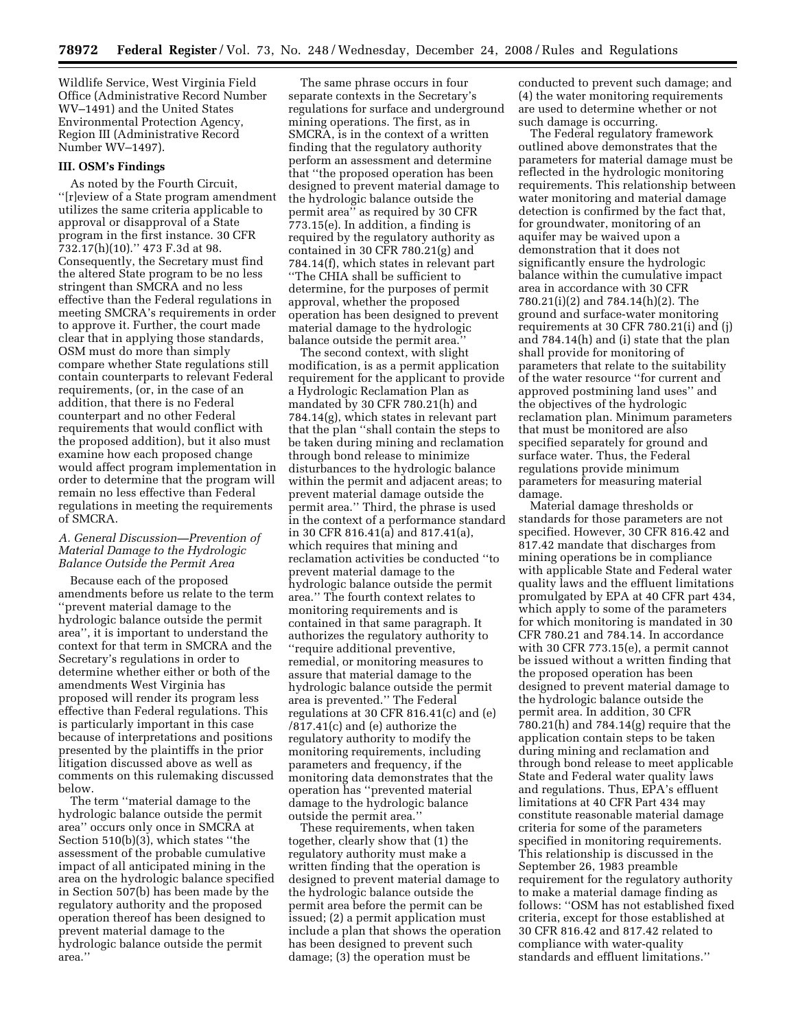Wildlife Service, West Virginia Field Office (Administrative Record Number WV–1491) and the United States Environmental Protection Agency, Region III (Administrative Record Number WV–1497).

#### **III. OSM's Findings**

As noted by the Fourth Circuit, ''[r]eview of a State program amendment utilizes the same criteria applicable to approval or disapproval of a State program in the first instance. 30 CFR 732.17(h)(10).'' 473 F.3d at 98. Consequently, the Secretary must find the altered State program to be no less stringent than SMCRA and no less effective than the Federal regulations in meeting SMCRA's requirements in order to approve it. Further, the court made clear that in applying those standards, OSM must do more than simply compare whether State regulations still contain counterparts to relevant Federal requirements, (or, in the case of an addition, that there is no Federal counterpart and no other Federal requirements that would conflict with the proposed addition), but it also must examine how each proposed change would affect program implementation in order to determine that the program will remain no less effective than Federal regulations in meeting the requirements of SMCRA.

## *A. General Discussion—Prevention of Material Damage to the Hydrologic Balance Outside the Permit Area*

Because each of the proposed amendments before us relate to the term ''prevent material damage to the hydrologic balance outside the permit area'', it is important to understand the context for that term in SMCRA and the Secretary's regulations in order to determine whether either or both of the amendments West Virginia has proposed will render its program less effective than Federal regulations. This is particularly important in this case because of interpretations and positions presented by the plaintiffs in the prior litigation discussed above as well as comments on this rulemaking discussed below.

The term ''material damage to the hydrologic balance outside the permit area'' occurs only once in SMCRA at Section 510(b)(3), which states ''the assessment of the probable cumulative impact of all anticipated mining in the area on the hydrologic balance specified in Section 507(b) has been made by the regulatory authority and the proposed operation thereof has been designed to prevent material damage to the hydrologic balance outside the permit area.''

The same phrase occurs in four separate contexts in the Secretary's regulations for surface and underground mining operations. The first, as in SMCRA, is in the context of a written finding that the regulatory authority perform an assessment and determine that ''the proposed operation has been designed to prevent material damage to the hydrologic balance outside the permit area'' as required by 30 CFR 773.15(e). In addition, a finding is required by the regulatory authority as contained in 30 CFR 780.21(g) and 784.14(f), which states in relevant part ''The CHIA shall be sufficient to determine, for the purposes of permit approval, whether the proposed operation has been designed to prevent material damage to the hydrologic balance outside the permit area.''

The second context, with slight modification, is as a permit application requirement for the applicant to provide a Hydrologic Reclamation Plan as mandated by 30 CFR 780.21(h) and 784.14(g), which states in relevant part that the plan ''shall contain the steps to be taken during mining and reclamation through bond release to minimize disturbances to the hydrologic balance within the permit and adjacent areas; to prevent material damage outside the permit area.'' Third, the phrase is used in the context of a performance standard in 30 CFR 816.41(a) and 817.41(a), which requires that mining and reclamation activities be conducted ''to prevent material damage to the hydrologic balance outside the permit area.'' The fourth context relates to monitoring requirements and is contained in that same paragraph. It authorizes the regulatory authority to ''require additional preventive, remedial, or monitoring measures to assure that material damage to the hydrologic balance outside the permit area is prevented.'' The Federal regulations at 30 CFR 816.41(c) and (e) /817.41(c) and (e) authorize the regulatory authority to modify the monitoring requirements, including parameters and frequency, if the monitoring data demonstrates that the operation has ''prevented material damage to the hydrologic balance outside the permit area.''

These requirements, when taken together, clearly show that (1) the regulatory authority must make a written finding that the operation is designed to prevent material damage to the hydrologic balance outside the permit area before the permit can be issued; (2) a permit application must include a plan that shows the operation has been designed to prevent such damage; (3) the operation must be

conducted to prevent such damage; and (4) the water monitoring requirements are used to determine whether or not such damage is occurring.

The Federal regulatory framework outlined above demonstrates that the parameters for material damage must be reflected in the hydrologic monitoring requirements. This relationship between water monitoring and material damage detection is confirmed by the fact that, for groundwater, monitoring of an aquifer may be waived upon a demonstration that it does not significantly ensure the hydrologic balance within the cumulative impact area in accordance with 30 CFR 780.21(i)(2) and 784.14(h)(2). The ground and surface-water monitoring requirements at 30 CFR 780.21(i) and (j) and 784.14(h) and (i) state that the plan shall provide for monitoring of parameters that relate to the suitability of the water resource ''for current and approved postmining land uses'' and the objectives of the hydrologic reclamation plan. Minimum parameters that must be monitored are also specified separately for ground and surface water. Thus, the Federal regulations provide minimum parameters for measuring material damage.

Material damage thresholds or standards for those parameters are not specified. However, 30 CFR 816.42 and 817.42 mandate that discharges from mining operations be in compliance with applicable State and Federal water quality laws and the effluent limitations promulgated by EPA at 40 CFR part 434, which apply to some of the parameters for which monitoring is mandated in 30 CFR 780.21 and 784.14. In accordance with 30 CFR 773.15(e), a permit cannot be issued without a written finding that the proposed operation has been designed to prevent material damage to the hydrologic balance outside the permit area. In addition, 30 CFR 780.21(h) and 784.14(g) require that the application contain steps to be taken during mining and reclamation and through bond release to meet applicable State and Federal water quality laws and regulations. Thus, EPA's effluent limitations at 40 CFR Part 434 may constitute reasonable material damage criteria for some of the parameters specified in monitoring requirements. This relationship is discussed in the September 26, 1983 preamble requirement for the regulatory authority to make a material damage finding as follows: ''OSM has not established fixed criteria, except for those established at 30 CFR 816.42 and 817.42 related to compliance with water-quality standards and effluent limitations.''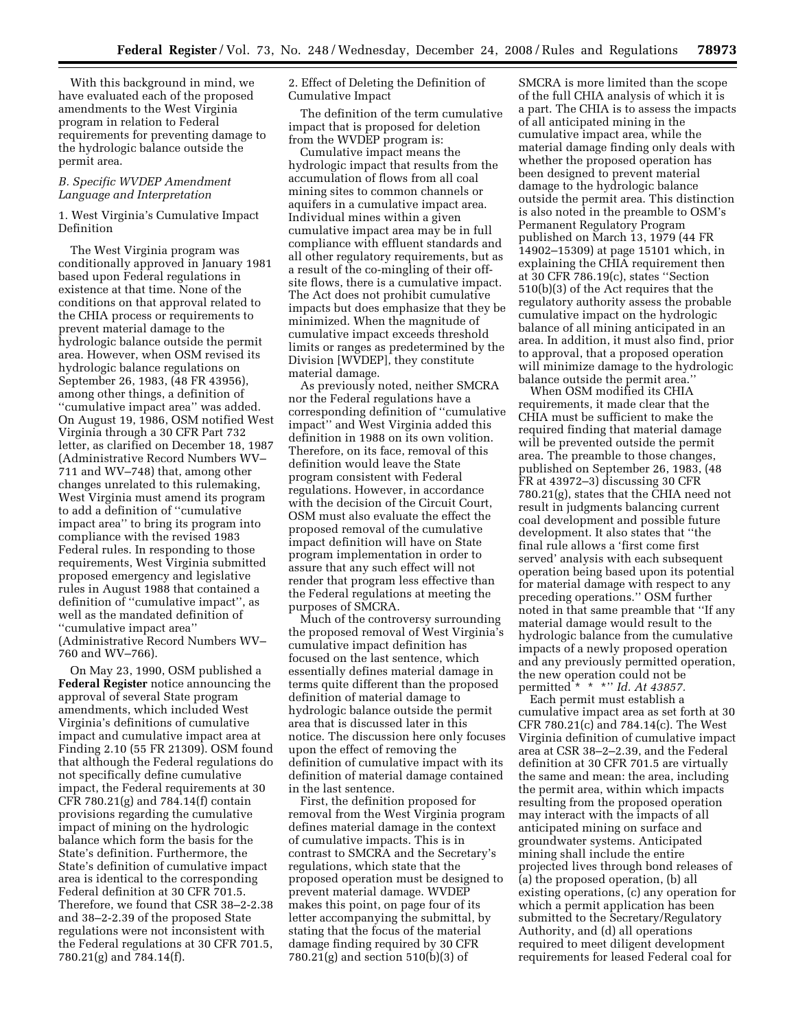With this background in mind, we have evaluated each of the proposed amendments to the West Virginia program in relation to Federal requirements for preventing damage to the hydrologic balance outside the permit area.

# *B. Specific WVDEP Amendment Language and Interpretation*

# 1. West Virginia's Cumulative Impact Definition

The West Virginia program was conditionally approved in January 1981 based upon Federal regulations in existence at that time. None of the conditions on that approval related to the CHIA process or requirements to prevent material damage to the hydrologic balance outside the permit area. However, when OSM revised its hydrologic balance regulations on September 26, 1983, (48 FR 43956), among other things, a definition of ''cumulative impact area'' was added. On August 19, 1986, OSM notified West Virginia through a 30 CFR Part 732 letter, as clarified on December 18, 1987 (Administrative Record Numbers WV– 711 and WV–748) that, among other changes unrelated to this rulemaking, West Virginia must amend its program to add a definition of ''cumulative impact area'' to bring its program into compliance with the revised 1983 Federal rules. In responding to those requirements, West Virginia submitted proposed emergency and legislative rules in August 1988 that contained a definition of ''cumulative impact'', as well as the mandated definition of ''cumulative impact area'' (Administrative Record Numbers WV– 760 and WV–766).

On May 23, 1990, OSM published a **Federal Register** notice announcing the approval of several State program amendments, which included West Virginia's definitions of cumulative impact and cumulative impact area at Finding 2.10 (55 FR 21309). OSM found that although the Federal regulations do not specifically define cumulative impact, the Federal requirements at 30 CFR 780.21(g) and 784.14(f) contain provisions regarding the cumulative impact of mining on the hydrologic balance which form the basis for the State's definition. Furthermore, the State's definition of cumulative impact area is identical to the corresponding Federal definition at 30 CFR 701.5. Therefore, we found that CSR 38–2-2.38 and 38–2-2.39 of the proposed State regulations were not inconsistent with the Federal regulations at 30 CFR 701.5, 780.21(g) and 784.14(f).

2. Effect of Deleting the Definition of Cumulative Impact

The definition of the term cumulative impact that is proposed for deletion from the WVDEP program is:

Cumulative impact means the hydrologic impact that results from the accumulation of flows from all coal mining sites to common channels or aquifers in a cumulative impact area. Individual mines within a given cumulative impact area may be in full compliance with effluent standards and all other regulatory requirements, but as a result of the co-mingling of their offsite flows, there is a cumulative impact. The Act does not prohibit cumulative impacts but does emphasize that they be minimized. When the magnitude of cumulative impact exceeds threshold limits or ranges as predetermined by the Division [WVDEP], they constitute material damage.

As previously noted, neither SMCRA nor the Federal regulations have a corresponding definition of ''cumulative impact'' and West Virginia added this definition in 1988 on its own volition. Therefore, on its face, removal of this definition would leave the State program consistent with Federal regulations. However, in accordance with the decision of the Circuit Court, OSM must also evaluate the effect the proposed removal of the cumulative impact definition will have on State program implementation in order to assure that any such effect will not render that program less effective than the Federal regulations at meeting the purposes of SMCRA.

Much of the controversy surrounding the proposed removal of West Virginia's cumulative impact definition has focused on the last sentence, which essentially defines material damage in terms quite different than the proposed definition of material damage to hydrologic balance outside the permit area that is discussed later in this notice. The discussion here only focuses upon the effect of removing the definition of cumulative impact with its definition of material damage contained in the last sentence.

First, the definition proposed for removal from the West Virginia program defines material damage in the context of cumulative impacts. This is in contrast to SMCRA and the Secretary's regulations, which state that the proposed operation must be designed to prevent material damage. WVDEP makes this point, on page four of its letter accompanying the submittal, by stating that the focus of the material damage finding required by 30 CFR 780.21(g) and section 510(b)(3) of

SMCRA is more limited than the scope of the full CHIA analysis of which it is a part. The CHIA is to assess the impacts of all anticipated mining in the cumulative impact area, while the material damage finding only deals with whether the proposed operation has been designed to prevent material damage to the hydrologic balance outside the permit area. This distinction is also noted in the preamble to OSM's Permanent Regulatory Program published on March 13, 1979 (44 FR 14902–15309) at page 15101 which, in explaining the CHIA requirement then at 30 CFR 786.19(c), states ''Section 510(b)(3) of the Act requires that the regulatory authority assess the probable cumulative impact on the hydrologic balance of all mining anticipated in an area. In addition, it must also find, prior to approval, that a proposed operation will minimize damage to the hydrologic balance outside the permit area.''

When OSM modified its CHIA requirements, it made clear that the CHIA must be sufficient to make the required finding that material damage will be prevented outside the permit area. The preamble to those changes, published on September 26, 1983, (48 FR at 43972–3) discussing 30 CFR 780.21(g), states that the CHIA need not result in judgments balancing current coal development and possible future development. It also states that ''the final rule allows a 'first come first served' analysis with each subsequent operation being based upon its potential for material damage with respect to any preceding operations.'' OSM further noted in that same preamble that ''If any material damage would result to the hydrologic balance from the cumulative impacts of a newly proposed operation and any previously permitted operation, the new operation could not be permitted \* \* \*'' *Id. At 43857.* 

Each permit must establish a cumulative impact area as set forth at 30 CFR 780.21(c) and 784.14(c). The West Virginia definition of cumulative impact area at CSR 38–2–2.39, and the Federal definition at 30 CFR 701.5 are virtually the same and mean: the area, including the permit area, within which impacts resulting from the proposed operation may interact with the impacts of all anticipated mining on surface and groundwater systems. Anticipated mining shall include the entire projected lives through bond releases of (a) the proposed operation, (b) all existing operations, (c) any operation for which a permit application has been submitted to the Secretary/Regulatory Authority, and (d) all operations required to meet diligent development requirements for leased Federal coal for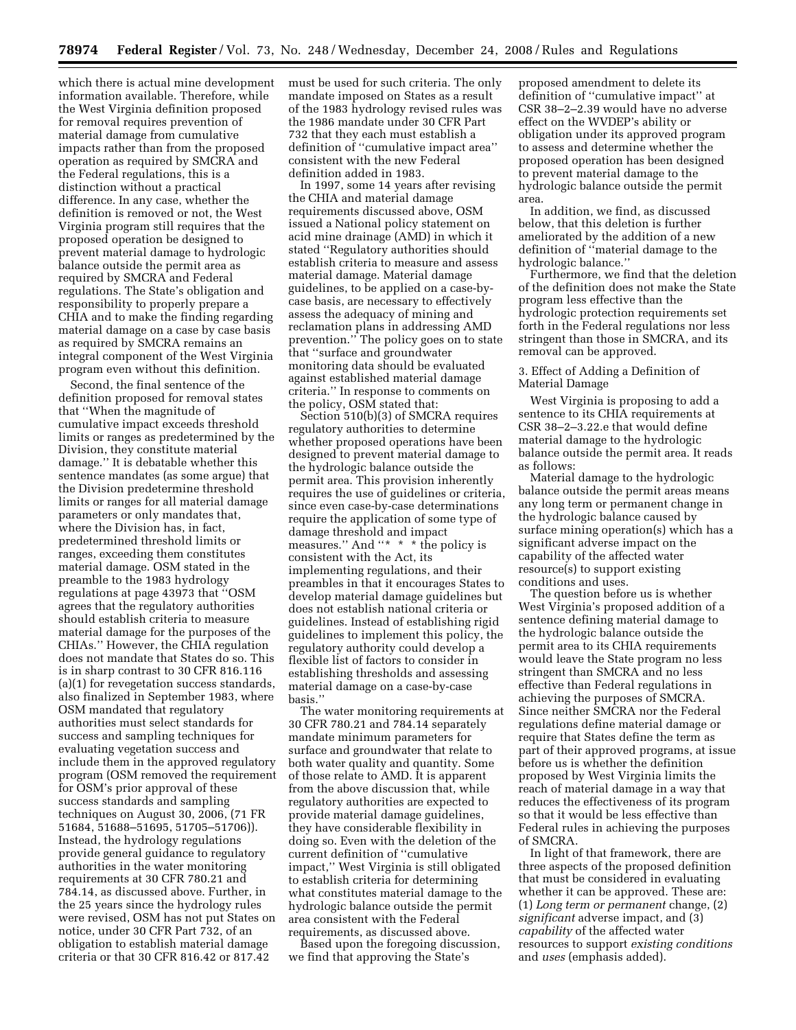which there is actual mine development information available. Therefore, while the West Virginia definition proposed for removal requires prevention of material damage from cumulative impacts rather than from the proposed operation as required by SMCRA and the Federal regulations, this is a distinction without a practical difference. In any case, whether the definition is removed or not, the West Virginia program still requires that the proposed operation be designed to prevent material damage to hydrologic balance outside the permit area as required by SMCRA and Federal regulations. The State's obligation and responsibility to properly prepare a CHIA and to make the finding regarding material damage on a case by case basis as required by SMCRA remains an integral component of the West Virginia program even without this definition.

Second, the final sentence of the definition proposed for removal states that ''When the magnitude of cumulative impact exceeds threshold limits or ranges as predetermined by the Division, they constitute material damage.'' It is debatable whether this sentence mandates (as some argue) that the Division predetermine threshold limits or ranges for all material damage parameters or only mandates that, where the Division has, in fact, predetermined threshold limits or ranges, exceeding them constitutes material damage. OSM stated in the preamble to the 1983 hydrology regulations at page 43973 that ''OSM agrees that the regulatory authorities should establish criteria to measure material damage for the purposes of the CHIAs.'' However, the CHIA regulation does not mandate that States do so. This is in sharp contrast to 30 CFR 816.116 (a)(1) for revegetation success standards, also finalized in September 1983, where OSM mandated that regulatory authorities must select standards for success and sampling techniques for evaluating vegetation success and include them in the approved regulatory program (OSM removed the requirement for OSM's prior approval of these success standards and sampling techniques on August 30, 2006, (71 FR 51684, 51688–51695, 51705–51706)). Instead, the hydrology regulations provide general guidance to regulatory authorities in the water monitoring requirements at 30 CFR 780.21 and 784.14, as discussed above. Further, in the 25 years since the hydrology rules were revised, OSM has not put States on notice, under 30 CFR Part 732, of an obligation to establish material damage criteria or that 30 CFR 816.42 or 817.42

must be used for such criteria. The only mandate imposed on States as a result of the 1983 hydrology revised rules was the 1986 mandate under 30 CFR Part 732 that they each must establish a definition of ''cumulative impact area'' consistent with the new Federal definition added in 1983.

In 1997, some 14 years after revising the CHIA and material damage requirements discussed above, OSM issued a National policy statement on acid mine drainage (AMD) in which it stated ''Regulatory authorities should establish criteria to measure and assess material damage. Material damage guidelines, to be applied on a case-bycase basis, are necessary to effectively assess the adequacy of mining and reclamation plans in addressing AMD prevention.'' The policy goes on to state that ''surface and groundwater monitoring data should be evaluated against established material damage criteria.'' In response to comments on the policy, OSM stated that:

Section 510(b)(3) of SMCRA requires regulatory authorities to determine whether proposed operations have been designed to prevent material damage to the hydrologic balance outside the permit area. This provision inherently requires the use of guidelines or criteria, since even case-by-case determinations require the application of some type of damage threshold and impact measures." And "\* \* \* the policy is consistent with the Act, its implementing regulations, and their preambles in that it encourages States to develop material damage guidelines but does not establish national criteria or guidelines. Instead of establishing rigid guidelines to implement this policy, the regulatory authority could develop a flexible list of factors to consider in establishing thresholds and assessing material damage on a case-by-case basis.''

The water monitoring requirements at 30 CFR 780.21 and 784.14 separately mandate minimum parameters for surface and groundwater that relate to both water quality and quantity. Some of those relate to AMD. It is apparent from the above discussion that, while regulatory authorities are expected to provide material damage guidelines, they have considerable flexibility in doing so. Even with the deletion of the current definition of ''cumulative impact,'' West Virginia is still obligated to establish criteria for determining what constitutes material damage to the hydrologic balance outside the permit area consistent with the Federal requirements, as discussed above.

Based upon the foregoing discussion, we find that approving the State's

proposed amendment to delete its definition of ''cumulative impact'' at CSR 38–2–2.39 would have no adverse effect on the WVDEP's ability or obligation under its approved program to assess and determine whether the proposed operation has been designed to prevent material damage to the hydrologic balance outside the permit area.

In addition, we find, as discussed below, that this deletion is further ameliorated by the addition of a new definition of ''material damage to the hydrologic balance.''

Furthermore, we find that the deletion of the definition does not make the State program less effective than the hydrologic protection requirements set forth in the Federal regulations nor less stringent than those in SMCRA, and its removal can be approved.

3. Effect of Adding a Definition of Material Damage

West Virginia is proposing to add a sentence to its CHIA requirements at CSR 38–2–3.22.e that would define material damage to the hydrologic balance outside the permit area. It reads as follows:

Material damage to the hydrologic balance outside the permit areas means any long term or permanent change in the hydrologic balance caused by surface mining operation(s) which has a significant adverse impact on the capability of the affected water resource(s) to support existing conditions and uses.

The question before us is whether West Virginia's proposed addition of a sentence defining material damage to the hydrologic balance outside the permit area to its CHIA requirements would leave the State program no less stringent than SMCRA and no less effective than Federal regulations in achieving the purposes of SMCRA. Since neither SMCRA nor the Federal regulations define material damage or require that States define the term as part of their approved programs, at issue before us is whether the definition proposed by West Virginia limits the reach of material damage in a way that reduces the effectiveness of its program so that it would be less effective than Federal rules in achieving the purposes of SMCRA.

In light of that framework, there are three aspects of the proposed definition that must be considered in evaluating whether it can be approved. These are: (1) *Long term or permanent* change, (2) *significant* adverse impact, and (3) *capability* of the affected water resources to support *existing conditions*  and *uses* (emphasis added).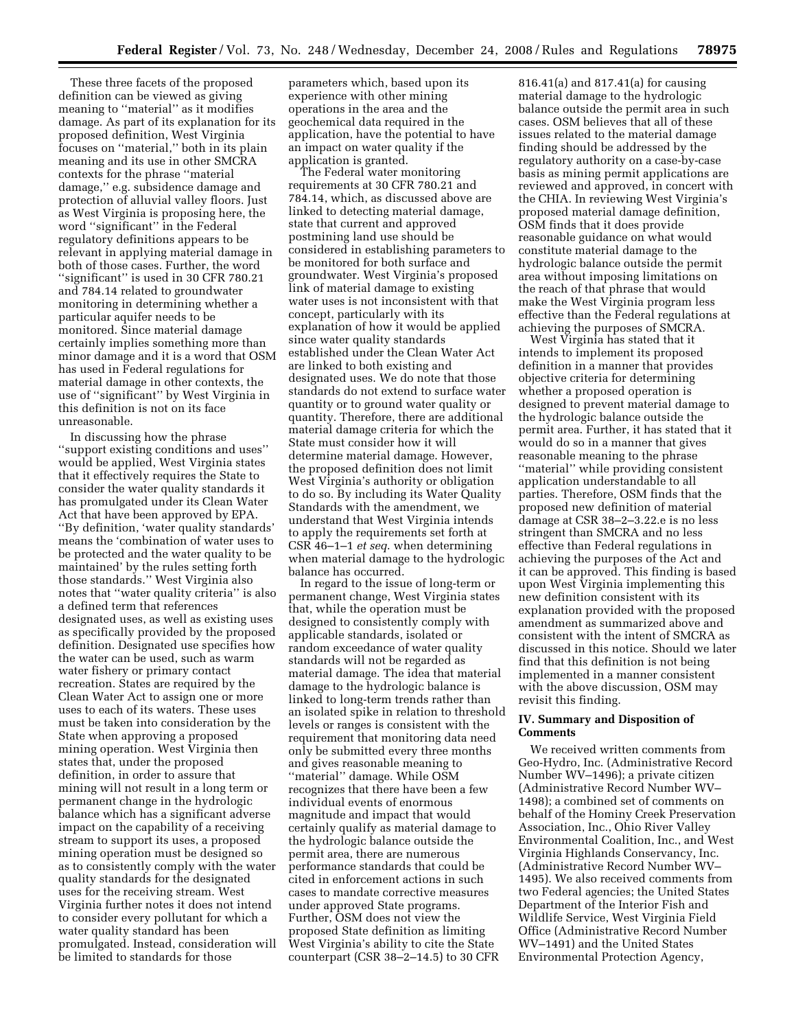These three facets of the proposed definition can be viewed as giving meaning to ''material'' as it modifies damage. As part of its explanation for its proposed definition, West Virginia focuses on ''material,'' both in its plain meaning and its use in other SMCRA contexts for the phrase ''material damage,'' e.g. subsidence damage and protection of alluvial valley floors. Just as West Virginia is proposing here, the word ''significant'' in the Federal regulatory definitions appears to be relevant in applying material damage in both of those cases. Further, the word ''significant'' is used in 30 CFR 780.21 and 784.14 related to groundwater monitoring in determining whether a particular aquifer needs to be monitored. Since material damage certainly implies something more than minor damage and it is a word that OSM has used in Federal regulations for material damage in other contexts, the use of ''significant'' by West Virginia in this definition is not on its face unreasonable.

In discussing how the phrase ''support existing conditions and uses'' would be applied, West Virginia states that it effectively requires the State to consider the water quality standards it has promulgated under its Clean Water Act that have been approved by EPA. ''By definition, 'water quality standards' means the 'combination of water uses to be protected and the water quality to be maintained' by the rules setting forth those standards.'' West Virginia also notes that ''water quality criteria'' is also a defined term that references designated uses, as well as existing uses as specifically provided by the proposed definition. Designated use specifies how the water can be used, such as warm water fishery or primary contact recreation. States are required by the Clean Water Act to assign one or more uses to each of its waters. These uses must be taken into consideration by the State when approving a proposed mining operation. West Virginia then states that, under the proposed definition, in order to assure that mining will not result in a long term or permanent change in the hydrologic balance which has a significant adverse impact on the capability of a receiving stream to support its uses, a proposed mining operation must be designed so as to consistently comply with the water quality standards for the designated uses for the receiving stream. West Virginia further notes it does not intend to consider every pollutant for which a water quality standard has been promulgated. Instead, consideration will be limited to standards for those

parameters which, based upon its experience with other mining operations in the area and the geochemical data required in the application, have the potential to have an impact on water quality if the application is granted.

The Federal water monitoring requirements at 30 CFR 780.21 and 784.14, which, as discussed above are linked to detecting material damage, state that current and approved postmining land use should be considered in establishing parameters to be monitored for both surface and groundwater. West Virginia's proposed link of material damage to existing water uses is not inconsistent with that concept, particularly with its explanation of how it would be applied since water quality standards established under the Clean Water Act are linked to both existing and designated uses. We do note that those standards do not extend to surface water quantity or to ground water quality or quantity. Therefore, there are additional material damage criteria for which the State must consider how it will determine material damage. However, the proposed definition does not limit West Virginia's authority or obligation to do so. By including its Water Quality Standards with the amendment, we understand that West Virginia intends to apply the requirements set forth at CSR 46–1–1 *et seq*. when determining when material damage to the hydrologic balance has occurred.

In regard to the issue of long-term or permanent change, West Virginia states that, while the operation must be designed to consistently comply with applicable standards, isolated or random exceedance of water quality standards will not be regarded as material damage. The idea that material damage to the hydrologic balance is linked to long-term trends rather than an isolated spike in relation to threshold levels or ranges is consistent with the requirement that monitoring data need only be submitted every three months and gives reasonable meaning to ''material'' damage. While OSM recognizes that there have been a few individual events of enormous magnitude and impact that would certainly qualify as material damage to the hydrologic balance outside the permit area, there are numerous performance standards that could be cited in enforcement actions in such cases to mandate corrective measures under approved State programs. Further, OSM does not view the proposed State definition as limiting West Virginia's ability to cite the State counterpart (CSR 38–2–14.5) to 30 CFR

816.41(a) and 817.41(a) for causing material damage to the hydrologic balance outside the permit area in such cases. OSM believes that all of these issues related to the material damage finding should be addressed by the regulatory authority on a case-by-case basis as mining permit applications are reviewed and approved, in concert with the CHIA. In reviewing West Virginia's proposed material damage definition, OSM finds that it does provide reasonable guidance on what would constitute material damage to the hydrologic balance outside the permit area without imposing limitations on the reach of that phrase that would make the West Virginia program less effective than the Federal regulations at achieving the purposes of SMCRA.

West Virginia has stated that it intends to implement its proposed definition in a manner that provides objective criteria for determining whether a proposed operation is designed to prevent material damage to the hydrologic balance outside the permit area. Further, it has stated that it would do so in a manner that gives reasonable meaning to the phrase ''material'' while providing consistent application understandable to all parties. Therefore, OSM finds that the proposed new definition of material damage at CSR 38–2–3.22.e is no less stringent than SMCRA and no less effective than Federal regulations in achieving the purposes of the Act and it can be approved. This finding is based upon West Virginia implementing this new definition consistent with its explanation provided with the proposed amendment as summarized above and consistent with the intent of SMCRA as discussed in this notice. Should we later find that this definition is not being implemented in a manner consistent with the above discussion, OSM may revisit this finding.

### **IV. Summary and Disposition of Comments**

We received written comments from Geo-Hydro, Inc. (Administrative Record Number WV–1496); a private citizen (Administrative Record Number WV– 1498); a combined set of comments on behalf of the Hominy Creek Preservation Association, Inc., Ohio River Valley Environmental Coalition, Inc., and West Virginia Highlands Conservancy, Inc. (Administrative Record Number WV– 1495). We also received comments from two Federal agencies; the United States Department of the Interior Fish and Wildlife Service, West Virginia Field Office (Administrative Record Number WV–1491) and the United States Environmental Protection Agency,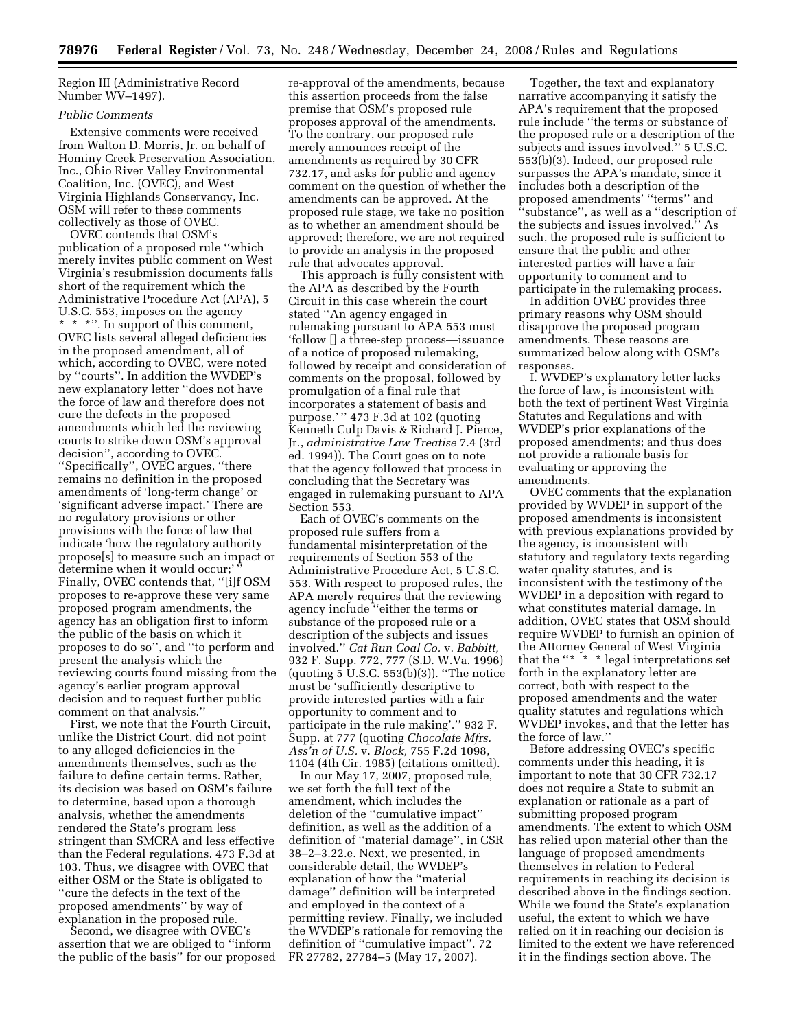Region III (Administrative Record Number WV–1497).

#### *Public Comments*

Extensive comments were received from Walton D. Morris, Jr. on behalf of Hominy Creek Preservation Association, Inc., Ohio River Valley Environmental Coalition, Inc. (OVEC), and West Virginia Highlands Conservancy, Inc. OSM will refer to these comments collectively as those of OVEC.

OVEC contends that OSM's publication of a proposed rule ''which merely invites public comment on West Virginia's resubmission documents falls short of the requirement which the Administrative Procedure Act (APA), 5 U.S.C. 553, imposes on the agency \* \* \*''. In support of this comment, OVEC lists several alleged deficiencies in the proposed amendment, all of which, according to OVEC, were noted by ''courts''. In addition the WVDEP's new explanatory letter ''does not have the force of law and therefore does not cure the defects in the proposed amendments which led the reviewing courts to strike down OSM's approval decision'', according to OVEC. ''Specifically'', OVEC argues, ''there remains no definition in the proposed amendments of 'long-term change' or 'significant adverse impact.' There are no regulatory provisions or other provisions with the force of law that indicate 'how the regulatory authority propose[s] to measure such an impact or determine when it would occur; Finally, OVEC contends that, ''[i]f OSM proposes to re-approve these very same proposed program amendments, the agency has an obligation first to inform the public of the basis on which it proposes to do so'', and ''to perform and present the analysis which the reviewing courts found missing from the agency's earlier program approval decision and to request further public comment on that analysis.''

First, we note that the Fourth Circuit, unlike the District Court, did not point to any alleged deficiencies in the amendments themselves, such as the failure to define certain terms. Rather, its decision was based on OSM's failure to determine, based upon a thorough analysis, whether the amendments rendered the State's program less stringent than SMCRA and less effective than the Federal regulations. 473 F.3d at 103. Thus, we disagree with OVEC that either OSM or the State is obligated to ''cure the defects in the text of the proposed amendments'' by way of explanation in the proposed rule.

Second, we disagree with OVEC's assertion that we are obliged to ''inform the public of the basis'' for our proposed

re-approval of the amendments, because this assertion proceeds from the false premise that OSM's proposed rule proposes approval of the amendments. To the contrary, our proposed rule merely announces receipt of the amendments as required by 30 CFR 732.17, and asks for public and agency comment on the question of whether the amendments can be approved. At the proposed rule stage, we take no position as to whether an amendment should be approved; therefore, we are not required to provide an analysis in the proposed rule that advocates approval.

This approach is fully consistent with the APA as described by the Fourth Circuit in this case wherein the court stated ''An agency engaged in rulemaking pursuant to APA 553 must 'follow [] a three-step process—issuance of a notice of proposed rulemaking, followed by receipt and consideration of comments on the proposal, followed by promulgation of a final rule that incorporates a statement of basis and purpose.' '' 473 F.3d at 102 (quoting Kenneth Culp Davis & Richard J. Pierce, Jr., *administrative Law Treatise* 7.4 (3rd ed. 1994)). The Court goes on to note that the agency followed that process in concluding that the Secretary was engaged in rulemaking pursuant to APA Section 553.

Each of OVEC's comments on the proposed rule suffers from a fundamental misinterpretation of the requirements of Section 553 of the Administrative Procedure Act, 5 U.S.C. 553. With respect to proposed rules, the APA merely requires that the reviewing agency include ''either the terms or substance of the proposed rule or a description of the subjects and issues involved.'' *Cat Run Coal Co.* v. *Babbitt,*  932 F. Supp. 772, 777 (S.D. W.Va. 1996) (quoting 5 U.S.C. 553(b)(3)). ''The notice must be 'sufficiently descriptive to provide interested parties with a fair opportunity to comment and to participate in the rule making'.'' 932 F. Supp. at 777 (quoting *Chocolate Mfrs. Ass'n of U.S.* v. *Block,* 755 F.2d 1098, 1104 (4th Cir. 1985) (citations omitted).

In our May 17, 2007, proposed rule, we set forth the full text of the amendment, which includes the deletion of the ''cumulative impact'' definition, as well as the addition of a definition of ''material damage'', in CSR 38–2–3.22.e. Next, we presented, in considerable detail, the WVDEP's explanation of how the ''material damage'' definition will be interpreted and employed in the context of a permitting review. Finally, we included the WVDEP's rationale for removing the definition of ''cumulative impact''. 72 FR 27782, 27784–5 (May 17, 2007).

Together, the text and explanatory narrative accompanying it satisfy the APA's requirement that the proposed rule include ''the terms or substance of the proposed rule or a description of the subjects and issues involved.'' 5 U.S.C. 553(b)(3). Indeed, our proposed rule surpasses the APA's mandate, since it includes both a description of the proposed amendments' ''terms'' and ''substance'', as well as a ''description of the subjects and issues involved.'' As such, the proposed rule is sufficient to ensure that the public and other interested parties will have a fair opportunity to comment and to participate in the rulemaking process.

In addition OVEC provides three primary reasons why OSM should disapprove the proposed program amendments. These reasons are summarized below along with OSM's responses.

I. WVDEP's explanatory letter lacks the force of law, is inconsistent with both the text of pertinent West Virginia Statutes and Regulations and with WVDEP's prior explanations of the proposed amendments; and thus does not provide a rationale basis for evaluating or approving the amendments.

OVEC comments that the explanation provided by WVDEP in support of the proposed amendments is inconsistent with previous explanations provided by the agency, is inconsistent with statutory and regulatory texts regarding water quality statutes, and is inconsistent with the testimony of the WVDEP in a deposition with regard to what constitutes material damage. In addition, OVEC states that OSM should require WVDEP to furnish an opinion of the Attorney General of West Virginia that the "\* \* \* legal interpretations set forth in the explanatory letter are correct, both with respect to the proposed amendments and the water quality statutes and regulations which WVDEP invokes, and that the letter has the force of law.''

Before addressing OVEC's specific comments under this heading, it is important to note that 30 CFR 732.17 does not require a State to submit an explanation or rationale as a part of submitting proposed program amendments. The extent to which OSM has relied upon material other than the language of proposed amendments themselves in relation to Federal requirements in reaching its decision is described above in the findings section. While we found the State's explanation useful, the extent to which we have relied on it in reaching our decision is limited to the extent we have referenced it in the findings section above. The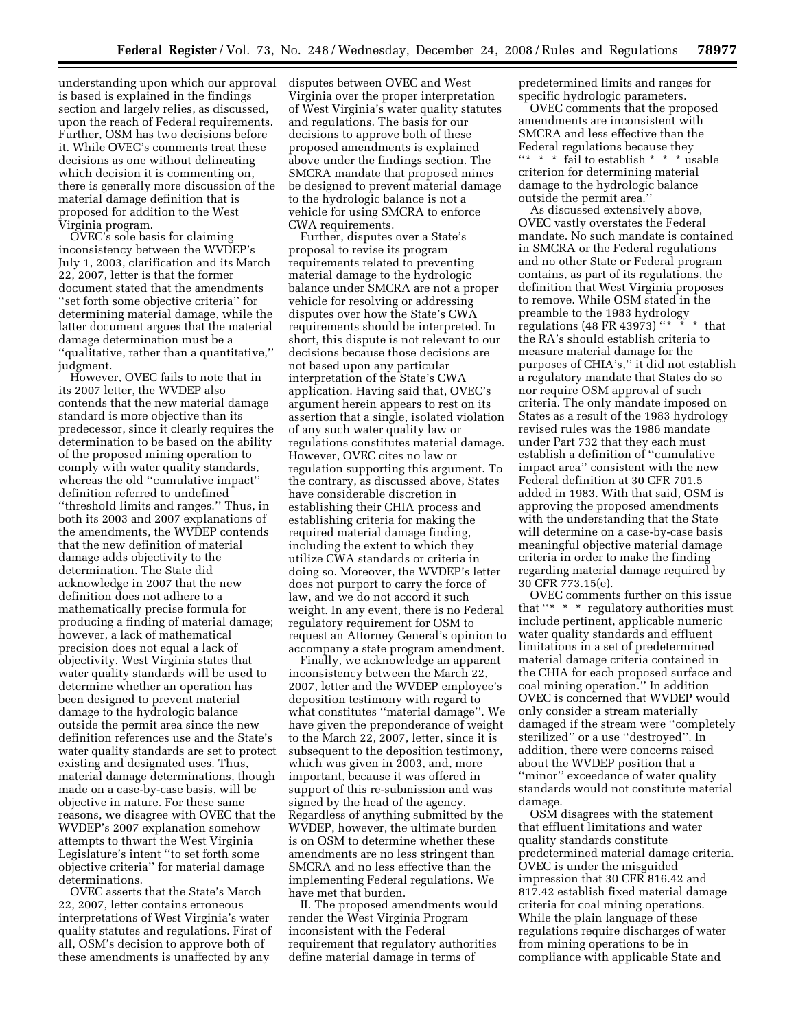understanding upon which our approval is based is explained in the findings section and largely relies, as discussed, upon the reach of Federal requirements. Further, OSM has two decisions before it. While OVEC's comments treat these decisions as one without delineating which decision it is commenting on, there is generally more discussion of the material damage definition that is proposed for addition to the West Virginia program.

OVEC's sole basis for claiming inconsistency between the WVDEP's July 1, 2003, clarification and its March 22, 2007, letter is that the former document stated that the amendments ''set forth some objective criteria'' for determining material damage, while the latter document argues that the material damage determination must be a ''qualitative, rather than a quantitative,'' judgment.

However, OVEC fails to note that in its 2007 letter, the WVDEP also contends that the new material damage standard is more objective than its predecessor, since it clearly requires the determination to be based on the ability of the proposed mining operation to comply with water quality standards, whereas the old ''cumulative impact'' definition referred to undefined ''threshold limits and ranges.'' Thus, in both its 2003 and 2007 explanations of the amendments, the WVDEP contends that the new definition of material damage adds objectivity to the determination. The State did acknowledge in 2007 that the new definition does not adhere to a mathematically precise formula for producing a finding of material damage; however, a lack of mathematical precision does not equal a lack of objectivity. West Virginia states that water quality standards will be used to determine whether an operation has been designed to prevent material damage to the hydrologic balance outside the permit area since the new definition references use and the State's water quality standards are set to protect existing and designated uses. Thus, material damage determinations, though made on a case-by-case basis, will be objective in nature. For these same reasons, we disagree with OVEC that the WVDEP's 2007 explanation somehow attempts to thwart the West Virginia Legislature's intent ''to set forth some objective criteria'' for material damage determinations.

OVEC asserts that the State's March 22, 2007, letter contains erroneous interpretations of West Virginia's water quality statutes and regulations. First of all, OSM's decision to approve both of these amendments is unaffected by any

disputes between OVEC and West Virginia over the proper interpretation of West Virginia's water quality statutes and regulations. The basis for our decisions to approve both of these proposed amendments is explained above under the findings section. The SMCRA mandate that proposed mines be designed to prevent material damage to the hydrologic balance is not a vehicle for using SMCRA to enforce CWA requirements.

Further, disputes over a State's proposal to revise its program requirements related to preventing material damage to the hydrologic balance under SMCRA are not a proper vehicle for resolving or addressing disputes over how the State's CWA requirements should be interpreted. In short, this dispute is not relevant to our decisions because those decisions are not based upon any particular interpretation of the State's CWA application. Having said that, OVEC's argument herein appears to rest on its assertion that a single, isolated violation of any such water quality law or regulations constitutes material damage. However, OVEC cites no law or regulation supporting this argument. To the contrary, as discussed above, States have considerable discretion in establishing their CHIA process and establishing criteria for making the required material damage finding, including the extent to which they utilize CWA standards or criteria in doing so. Moreover, the WVDEP's letter does not purport to carry the force of law, and we do not accord it such weight. In any event, there is no Federal regulatory requirement for OSM to request an Attorney General's opinion to accompany a state program amendment.

Finally, we acknowledge an apparent inconsistency between the March 22, 2007, letter and the WVDEP employee's deposition testimony with regard to what constitutes ''material damage''. We have given the preponderance of weight to the March 22, 2007, letter, since it is subsequent to the deposition testimony, which was given in 2003, and, more important, because it was offered in support of this re-submission and was signed by the head of the agency. Regardless of anything submitted by the WVDEP, however, the ultimate burden is on OSM to determine whether these amendments are no less stringent than SMCRA and no less effective than the implementing Federal regulations. We have met that burden.

II. The proposed amendments would render the West Virginia Program inconsistent with the Federal requirement that regulatory authorities define material damage in terms of

predetermined limits and ranges for specific hydrologic parameters.

OVEC comments that the proposed amendments are inconsistent with SMCRA and less effective than the Federal regulations because they ''\* \* \* fail to establish \* \* \* usable criterion for determining material damage to the hydrologic balance outside the permit area.''

As discussed extensively above, OVEC vastly overstates the Federal mandate. No such mandate is contained in SMCRA or the Federal regulations and no other State or Federal program contains, as part of its regulations, the definition that West Virginia proposes to remove. While OSM stated in the preamble to the 1983 hydrology regulations (48 FR 43973) "\*  $*$  \* that the RA's should establish criteria to measure material damage for the purposes of CHIA's,'' it did not establish a regulatory mandate that States do so nor require OSM approval of such criteria. The only mandate imposed on States as a result of the 1983 hydrology revised rules was the 1986 mandate under Part 732 that they each must establish a definition of ''cumulative impact area'' consistent with the new Federal definition at 30 CFR 701.5 added in 1983. With that said, OSM is approving the proposed amendments with the understanding that the State will determine on a case-by-case basis meaningful objective material damage criteria in order to make the finding regarding material damage required by 30 CFR 773.15(e).

OVEC comments further on this issue that ''\*  $\hspace{0.1mm}^*$  ' regulatory authorities must include pertinent, applicable numeric water quality standards and effluent limitations in a set of predetermined material damage criteria contained in the CHIA for each proposed surface and coal mining operation.'' In addition OVEC is concerned that WVDEP would only consider a stream materially damaged if the stream were ''completely sterilized'' or a use ''destroyed''. In addition, there were concerns raised about the WVDEP position that a ''minor'' exceedance of water quality standards would not constitute material damage.

OSM disagrees with the statement that effluent limitations and water quality standards constitute predetermined material damage criteria. OVEC is under the misguided impression that 30 CFR 816.42 and 817.42 establish fixed material damage criteria for coal mining operations. While the plain language of these regulations require discharges of water from mining operations to be in compliance with applicable State and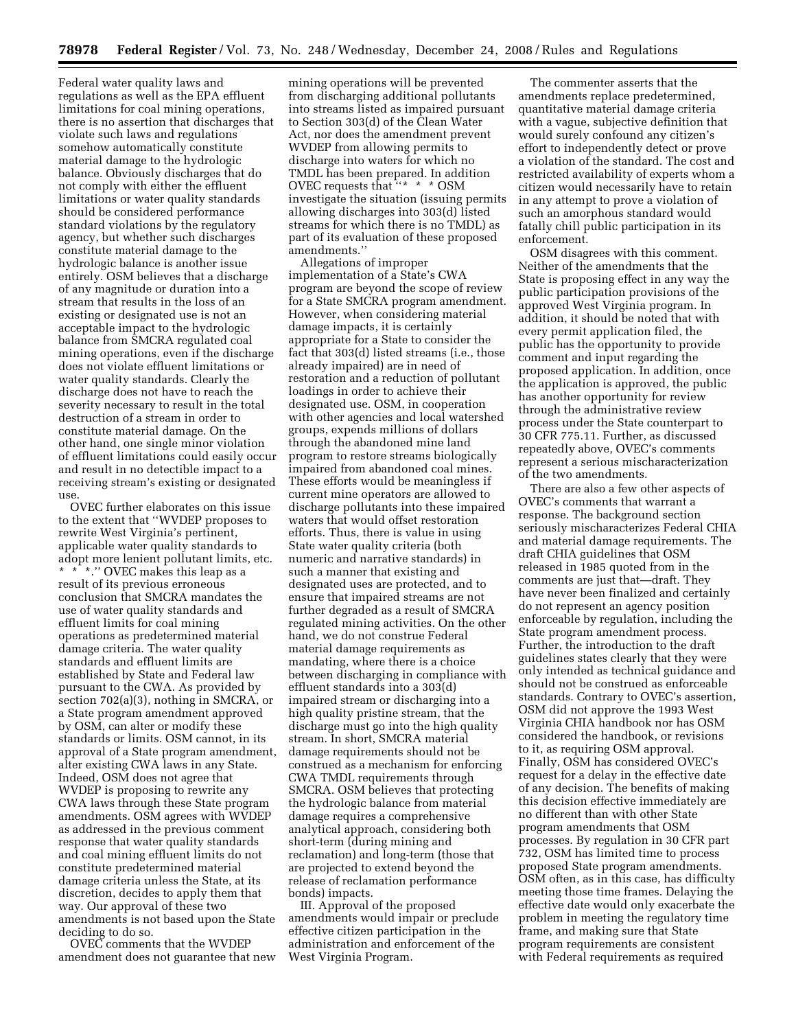Federal water quality laws and regulations as well as the EPA effluent limitations for coal mining operations, there is no assertion that discharges that violate such laws and regulations somehow automatically constitute material damage to the hydrologic balance. Obviously discharges that do not comply with either the effluent limitations or water quality standards should be considered performance standard violations by the regulatory agency, but whether such discharges constitute material damage to the hydrologic balance is another issue entirely. OSM believes that a discharge of any magnitude or duration into a stream that results in the loss of an existing or designated use is not an acceptable impact to the hydrologic balance from SMCRA regulated coal mining operations, even if the discharge does not violate effluent limitations or water quality standards. Clearly the discharge does not have to reach the severity necessary to result in the total destruction of a stream in order to constitute material damage. On the other hand, one single minor violation of effluent limitations could easily occur and result in no detectible impact to a receiving stream's existing or designated use.

OVEC further elaborates on this issue to the extent that ''WVDEP proposes to rewrite West Virginia's pertinent, applicable water quality standards to adopt more lenient pollutant limits, etc. \* \* \*.'' OVEC makes this leap as a result of its previous erroneous conclusion that SMCRA mandates the use of water quality standards and effluent limits for coal mining operations as predetermined material damage criteria. The water quality standards and effluent limits are established by State and Federal law pursuant to the CWA. As provided by section 702(a)(3), nothing in SMCRA, or a State program amendment approved by OSM, can alter or modify these standards or limits. OSM cannot, in its approval of a State program amendment, alter existing CWA laws in any State. Indeed, OSM does not agree that WVDEP is proposing to rewrite any CWA laws through these State program amendments. OSM agrees with WVDEP as addressed in the previous comment response that water quality standards and coal mining effluent limits do not constitute predetermined material damage criteria unless the State, at its discretion, decides to apply them that way. Our approval of these two amendments is not based upon the State deciding to do so.

OVEC comments that the WVDEP amendment does not guarantee that new

mining operations will be prevented from discharging additional pollutants into streams listed as impaired pursuant to Section 303(d) of the Clean Water Act, nor does the amendment prevent WVDEP from allowing permits to discharge into waters for which no TMDL has been prepared. In addition OVEC requests that ''\* \* \* OSM investigate the situation (issuing permits allowing discharges into 303(d) listed streams for which there is no TMDL) as part of its evaluation of these proposed amendments.''

Allegations of improper implementation of a State's CWA program are beyond the scope of review for a State SMCRA program amendment. However, when considering material damage impacts, it is certainly appropriate for a State to consider the fact that 303(d) listed streams (i.e., those already impaired) are in need of restoration and a reduction of pollutant loadings in order to achieve their designated use. OSM, in cooperation with other agencies and local watershed groups, expends millions of dollars through the abandoned mine land program to restore streams biologically impaired from abandoned coal mines. These efforts would be meaningless if current mine operators are allowed to discharge pollutants into these impaired waters that would offset restoration efforts. Thus, there is value in using State water quality criteria (both numeric and narrative standards) in such a manner that existing and designated uses are protected, and to ensure that impaired streams are not further degraded as a result of SMCRA regulated mining activities. On the other hand, we do not construe Federal material damage requirements as mandating, where there is a choice between discharging in compliance with effluent standards into a 303(d) impaired stream or discharging into a high quality pristine stream, that the discharge must go into the high quality stream. In short, SMCRA material damage requirements should not be construed as a mechanism for enforcing CWA TMDL requirements through SMCRA. OSM believes that protecting the hydrologic balance from material damage requires a comprehensive analytical approach, considering both short-term (during mining and reclamation) and long-term (those that are projected to extend beyond the release of reclamation performance bonds) impacts.

III. Approval of the proposed amendments would impair or preclude effective citizen participation in the administration and enforcement of the West Virginia Program.

The commenter asserts that the amendments replace predetermined, quantitative material damage criteria with a vague, subjective definition that would surely confound any citizen's effort to independently detect or prove a violation of the standard. The cost and restricted availability of experts whom a citizen would necessarily have to retain in any attempt to prove a violation of such an amorphous standard would fatally chill public participation in its enforcement.

OSM disagrees with this comment. Neither of the amendments that the State is proposing effect in any way the public participation provisions of the approved West Virginia program. In addition, it should be noted that with every permit application filed, the public has the opportunity to provide comment and input regarding the proposed application. In addition, once the application is approved, the public has another opportunity for review through the administrative review process under the State counterpart to 30 CFR 775.11. Further, as discussed repeatedly above, OVEC's comments represent a serious mischaracterization of the two amendments.

There are also a few other aspects of OVEC's comments that warrant a response. The background section seriously mischaracterizes Federal CHIA and material damage requirements. The draft CHIA guidelines that OSM released in 1985 quoted from in the comments are just that—draft. They have never been finalized and certainly do not represent an agency position enforceable by regulation, including the State program amendment process. Further, the introduction to the draft guidelines states clearly that they were only intended as technical guidance and should not be construed as enforceable standards. Contrary to OVEC's assertion, OSM did not approve the 1993 West Virginia CHIA handbook nor has OSM considered the handbook, or revisions to it, as requiring OSM approval. Finally, OSM has considered OVEC's request for a delay in the effective date of any decision. The benefits of making this decision effective immediately are no different than with other State program amendments that OSM processes. By regulation in 30 CFR part 732, OSM has limited time to process proposed State program amendments. OSM often, as in this case, has difficulty meeting those time frames. Delaying the effective date would only exacerbate the problem in meeting the regulatory time frame, and making sure that State program requirements are consistent with Federal requirements as required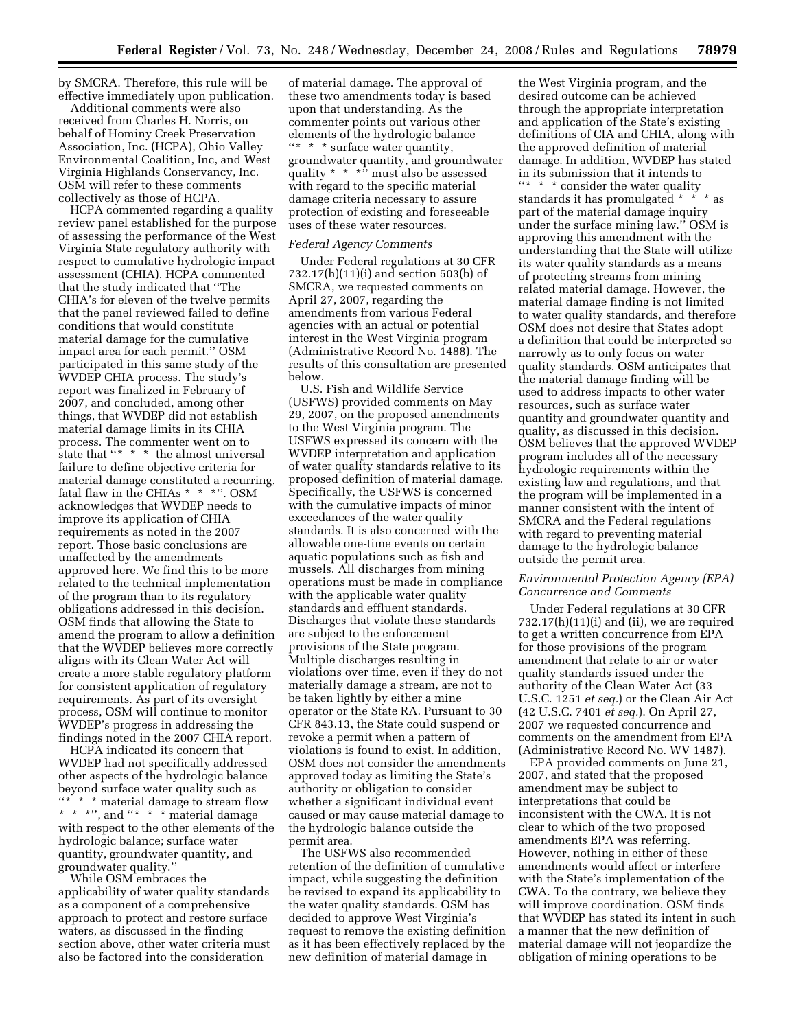by SMCRA. Therefore, this rule will be effective immediately upon publication.

Additional comments were also received from Charles H. Norris, on behalf of Hominy Creek Preservation Association, Inc. (HCPA), Ohio Valley Environmental Coalition, Inc, and West Virginia Highlands Conservancy, Inc. OSM will refer to these comments collectively as those of HCPA.

HCPA commented regarding a quality review panel established for the purpose of assessing the performance of the West Virginia State regulatory authority with respect to cumulative hydrologic impact assessment (CHIA). HCPA commented that the study indicated that ''The CHIA's for eleven of the twelve permits that the panel reviewed failed to define conditions that would constitute material damage for the cumulative impact area for each permit.'' OSM participated in this same study of the WVDEP CHIA process. The study's report was finalized in February of 2007, and concluded, among other things, that WVDEP did not establish material damage limits in its CHIA process. The commenter went on to state that "\* \* \* the almost universal failure to define objective criteria for material damage constituted a recurring, fatal flaw in the CHIAs  $* * *$ ". OSM acknowledges that WVDEP needs to improve its application of CHIA requirements as noted in the 2007 report. Those basic conclusions are unaffected by the amendments approved here. We find this to be more related to the technical implementation of the program than to its regulatory obligations addressed in this decision. OSM finds that allowing the State to amend the program to allow a definition that the WVDEP believes more correctly aligns with its Clean Water Act will create a more stable regulatory platform for consistent application of regulatory requirements. As part of its oversight process, OSM will continue to monitor WVDEP's progress in addressing the findings noted in the 2007 CHIA report.

HCPA indicated its concern that WVDEP had not specifically addressed other aspects of the hydrologic balance beyond surface water quality such as "\* \* \* material damage to stream flow \* \* \*'', and ''\* \* \* material damage with respect to the other elements of the hydrologic balance; surface water quantity, groundwater quantity, and groundwater quality.''

While OSM embraces the applicability of water quality standards as a component of a comprehensive approach to protect and restore surface waters, as discussed in the finding section above, other water criteria must also be factored into the consideration

of material damage. The approval of these two amendments today is based upon that understanding. As the commenter points out various other elements of the hydrologic balance ''\* \* \* surface water quantity, groundwater quantity, and groundwater quality \* \* \*" must also be assessed with regard to the specific material damage criteria necessary to assure protection of existing and foreseeable uses of these water resources.

### *Federal Agency Comments*

Under Federal regulations at 30 CFR 732.17(h)(11)(i) and section 503(b) of SMCRA, we requested comments on April 27, 2007, regarding the amendments from various Federal agencies with an actual or potential interest in the West Virginia program (Administrative Record No. 1488). The results of this consultation are presented below.

U.S. Fish and Wildlife Service (USFWS) provided comments on May 29, 2007, on the proposed amendments to the West Virginia program. The USFWS expressed its concern with the WVDEP interpretation and application of water quality standards relative to its proposed definition of material damage. Specifically, the USFWS is concerned with the cumulative impacts of minor exceedances of the water quality standards. It is also concerned with the allowable one-time events on certain aquatic populations such as fish and mussels. All discharges from mining operations must be made in compliance with the applicable water quality standards and effluent standards. Discharges that violate these standards are subject to the enforcement provisions of the State program. Multiple discharges resulting in violations over time, even if they do not materially damage a stream, are not to be taken lightly by either a mine operator or the State RA. Pursuant to 30 CFR 843.13, the State could suspend or revoke a permit when a pattern of violations is found to exist. In addition, OSM does not consider the amendments approved today as limiting the State's authority or obligation to consider whether a significant individual event caused or may cause material damage to the hydrologic balance outside the permit area.

The USFWS also recommended retention of the definition of cumulative impact, while suggesting the definition be revised to expand its applicability to the water quality standards. OSM has decided to approve West Virginia's request to remove the existing definition as it has been effectively replaced by the new definition of material damage in

the West Virginia program, and the desired outcome can be achieved through the appropriate interpretation and application of the State's existing definitions of CIA and CHIA, along with the approved definition of material damage. In addition, WVDEP has stated in its submission that it intends to ''\* \* \* consider the water quality standards it has promulgated \* \* \* as part of the material damage inquiry under the surface mining law.'' OSM is approving this amendment with the understanding that the State will utilize its water quality standards as a means of protecting streams from mining related material damage. However, the material damage finding is not limited to water quality standards, and therefore OSM does not desire that States adopt a definition that could be interpreted so narrowly as to only focus on water quality standards. OSM anticipates that the material damage finding will be used to address impacts to other water resources, such as surface water quantity and groundwater quantity and quality, as discussed in this decision. OSM believes that the approved WVDEP program includes all of the necessary hydrologic requirements within the existing law and regulations, and that the program will be implemented in a manner consistent with the intent of SMCRA and the Federal regulations with regard to preventing material damage to the hydrologic balance outside the permit area.

# *Environmental Protection Agency (EPA) Concurrence and Comments*

Under Federal regulations at 30 CFR  $732.17(h)(11)(i)$  and (ii), we are required to get a written concurrence from EPA for those provisions of the program amendment that relate to air or water quality standards issued under the authority of the Clean Water Act (33 U.S.C. 1251 *et seq.*) or the Clean Air Act (42 U.S.C. 7401 *et seq.*). On April 27, 2007 we requested concurrence and comments on the amendment from EPA (Administrative Record No. WV 1487).

EPA provided comments on June 21, 2007, and stated that the proposed amendment may be subject to interpretations that could be inconsistent with the CWA. It is not clear to which of the two proposed amendments EPA was referring. However, nothing in either of these amendments would affect or interfere with the State's implementation of the CWA. To the contrary, we believe they will improve coordination. OSM finds that WVDEP has stated its intent in such a manner that the new definition of material damage will not jeopardize the obligation of mining operations to be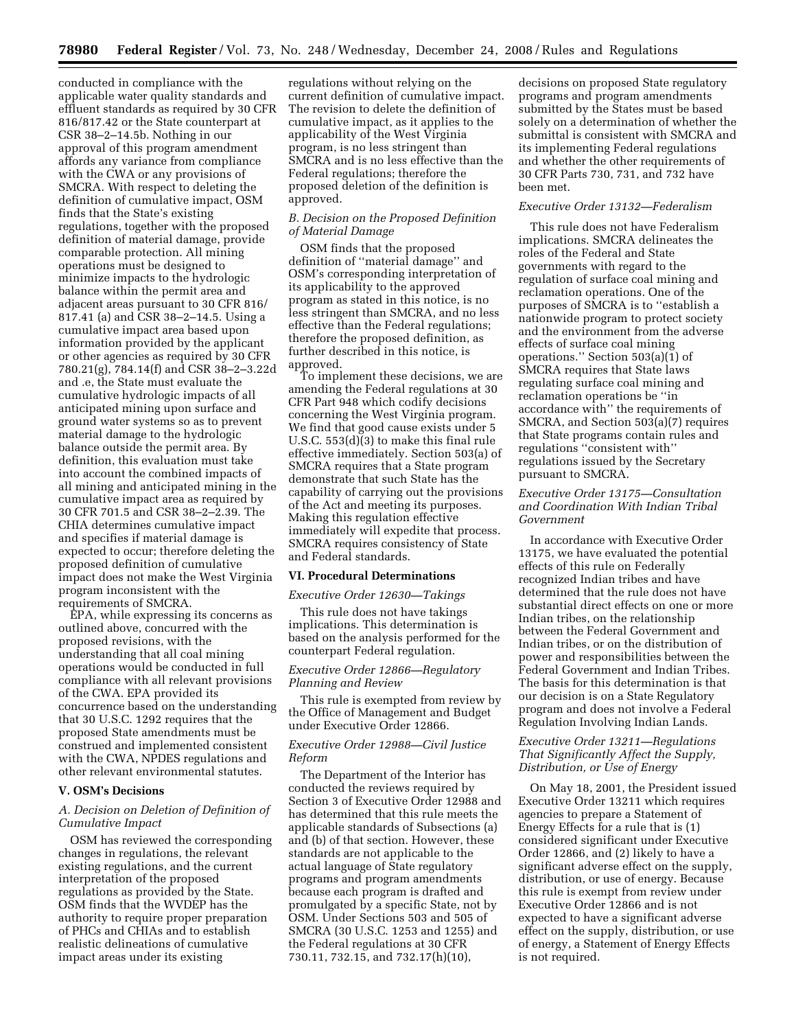conducted in compliance with the applicable water quality standards and effluent standards as required by 30 CFR 816/817.42 or the State counterpart at CSR 38–2–14.5b. Nothing in our approval of this program amendment affords any variance from compliance with the CWA or any provisions of SMCRA. With respect to deleting the definition of cumulative impact, OSM finds that the State's existing regulations, together with the proposed definition of material damage, provide comparable protection. All mining operations must be designed to minimize impacts to the hydrologic balance within the permit area and adjacent areas pursuant to 30 CFR 816/ 817.41 (a) and CSR 38–2–14.5. Using a cumulative impact area based upon information provided by the applicant or other agencies as required by 30 CFR 780.21(g), 784.14(f) and CSR 38–2–3.22d and .e, the State must evaluate the cumulative hydrologic impacts of all anticipated mining upon surface and ground water systems so as to prevent material damage to the hydrologic balance outside the permit area. By definition, this evaluation must take into account the combined impacts of all mining and anticipated mining in the cumulative impact area as required by 30 CFR 701.5 and CSR 38–2–2.39. The CHIA determines cumulative impact and specifies if material damage is expected to occur; therefore deleting the proposed definition of cumulative impact does not make the West Virginia program inconsistent with the requirements of SMCRA.

EPA, while expressing its concerns as outlined above, concurred with the proposed revisions, with the understanding that all coal mining operations would be conducted in full compliance with all relevant provisions of the CWA. EPA provided its concurrence based on the understanding that 30 U.S.C. 1292 requires that the proposed State amendments must be construed and implemented consistent with the CWA, NPDES regulations and other relevant environmental statutes.

### **V. OSM's Decisions**

# *A. Decision on Deletion of Definition of Cumulative Impact*

OSM has reviewed the corresponding changes in regulations, the relevant existing regulations, and the current interpretation of the proposed regulations as provided by the State. OSM finds that the WVDEP has the authority to require proper preparation of PHCs and CHIAs and to establish realistic delineations of cumulative impact areas under its existing

regulations without relying on the current definition of cumulative impact. The revision to delete the definition of cumulative impact, as it applies to the applicability of the West Virginia program, is no less stringent than SMCRA and is no less effective than the Federal regulations; therefore the proposed deletion of the definition is approved.

### *B. Decision on the Proposed Definition of Material Damage*

OSM finds that the proposed definition of ''material damage'' and OSM's corresponding interpretation of its applicability to the approved program as stated in this notice, is no less stringent than SMCRA, and no less effective than the Federal regulations; therefore the proposed definition, as further described in this notice, is approved.

To implement these decisions, we are amending the Federal regulations at 30 CFR Part 948 which codify decisions concerning the West Virginia program. We find that good cause exists under 5 U.S.C. 553(d)(3) to make this final rule effective immediately. Section 503(a) of SMCRA requires that a State program demonstrate that such State has the capability of carrying out the provisions of the Act and meeting its purposes. Making this regulation effective immediately will expedite that process. SMCRA requires consistency of State and Federal standards.

#### **VI. Procedural Determinations**

### *Executive Order 12630—Takings*

This rule does not have takings implications. This determination is based on the analysis performed for the counterpart Federal regulation.

### *Executive Order 12866—Regulatory Planning and Review*

This rule is exempted from review by the Office of Management and Budget under Executive Order 12866.

### *Executive Order 12988—Civil Justice Reform*

The Department of the Interior has conducted the reviews required by Section 3 of Executive Order 12988 and has determined that this rule meets the applicable standards of Subsections (a) and (b) of that section. However, these standards are not applicable to the actual language of State regulatory programs and program amendments because each program is drafted and promulgated by a specific State, not by OSM. Under Sections 503 and 505 of SMCRA (30 U.S.C. 1253 and 1255) and the Federal regulations at 30 CFR 730.11, 732.15, and 732.17(h)(10),

decisions on proposed State regulatory programs and program amendments submitted by the States must be based solely on a determination of whether the submittal is consistent with SMCRA and its implementing Federal regulations and whether the other requirements of 30 CFR Parts 730, 731, and 732 have been met.

# *Executive Order 13132—Federalism*

This rule does not have Federalism implications. SMCRA delineates the roles of the Federal and State governments with regard to the regulation of surface coal mining and reclamation operations. One of the purposes of SMCRA is to ''establish a nationwide program to protect society and the environment from the adverse effects of surface coal mining operations." Section  $503(a)(1)$  of SMCRA requires that State laws regulating surface coal mining and reclamation operations be ''in accordance with'' the requirements of SMCRA, and Section 503(a)(7) requires that State programs contain rules and regulations ''consistent with'' regulations issued by the Secretary pursuant to SMCRA.

# *Executive Order 13175—Consultation and Coordination With Indian Tribal Government*

In accordance with Executive Order 13175, we have evaluated the potential effects of this rule on Federally recognized Indian tribes and have determined that the rule does not have substantial direct effects on one or more Indian tribes, on the relationship between the Federal Government and Indian tribes, or on the distribution of power and responsibilities between the Federal Government and Indian Tribes. The basis for this determination is that our decision is on a State Regulatory program and does not involve a Federal Regulation Involving Indian Lands.

# *Executive Order 13211—Regulations That Significantly Affect the Supply, Distribution, or Use of Energy*

On May 18, 2001, the President issued Executive Order 13211 which requires agencies to prepare a Statement of Energy Effects for a rule that is (1) considered significant under Executive Order 12866, and (2) likely to have a significant adverse effect on the supply, distribution, or use of energy. Because this rule is exempt from review under Executive Order 12866 and is not expected to have a significant adverse effect on the supply, distribution, or use of energy, a Statement of Energy Effects is not required.